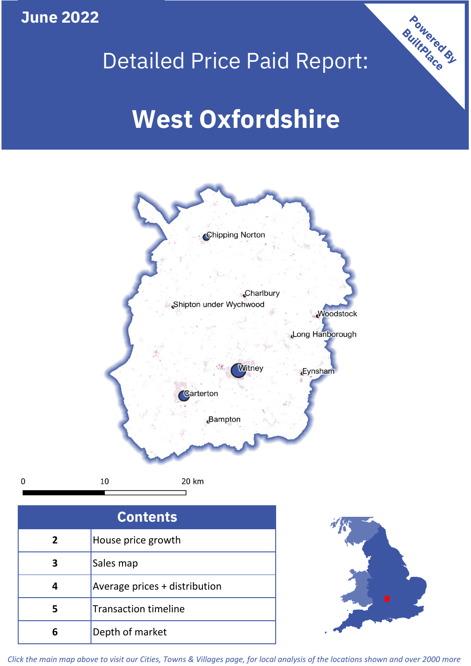**June 2022**





| <b>Contents</b> |                               |  |  |
|-----------------|-------------------------------|--|--|
| $\overline{2}$  | House price growth            |  |  |
| 3               | Sales map                     |  |  |
| 4               | Average prices + distribution |  |  |
| 5               | <b>Transaction timeline</b>   |  |  |
|                 | Depth of market               |  |  |



*Click the main map above to visit our Cities, Towns & Villages page, for local analysis of the locations shown and over 2000 more*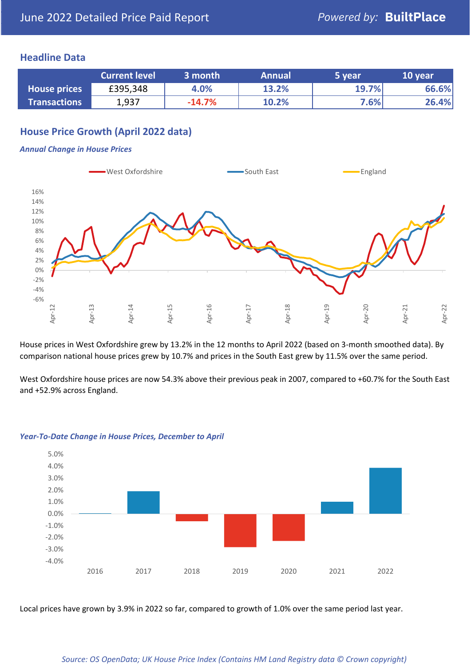### **Headline Data**

|                     | <b>Current level</b> | 3 month  | <b>Annual</b> | 5 year | 10 year |
|---------------------|----------------------|----------|---------------|--------|---------|
| <b>House prices</b> | £395,348             | 4.0%     | 13.2%         | 19.7%  | 66.6%   |
| <b>Transactions</b> | 1,937                | $-14.7%$ | 10.2%         | 7.6%   | 26.4%   |

## **House Price Growth (April 2022 data)**

#### *Annual Change in House Prices*



House prices in West Oxfordshire grew by 13.2% in the 12 months to April 2022 (based on 3-month smoothed data). By comparison national house prices grew by 10.7% and prices in the South East grew by 11.5% over the same period.

West Oxfordshire house prices are now 54.3% above their previous peak in 2007, compared to +60.7% for the South East and +52.9% across England.



#### *Year-To-Date Change in House Prices, December to April*

Local prices have grown by 3.9% in 2022 so far, compared to growth of 1.0% over the same period last year.

#### *Source: OS OpenData; UK House Price Index (Contains HM Land Registry data © Crown copyright)*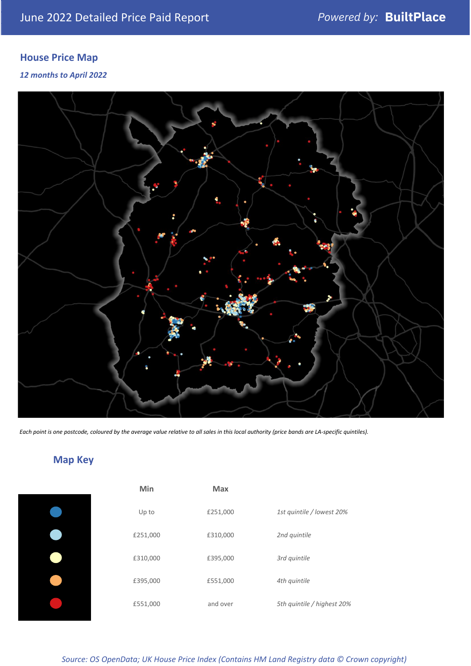# **House Price Map**

### *12 months to April 2022*



*Each point is one postcode, coloured by the average value relative to all sales in this local authority (price bands are LA-specific quintiles).*

# **Map Key**

| Min      | <b>Max</b> |                            |
|----------|------------|----------------------------|
| Up to    | £251,000   | 1st quintile / lowest 20%  |
| £251,000 | £310,000   | 2nd quintile               |
| £310,000 | £395,000   | 3rd quintile               |
| £395,000 | £551,000   | 4th quintile               |
| £551,000 | and over   | 5th quintile / highest 20% |
|          |            |                            |

#### *Source: OS OpenData; UK House Price Index (Contains HM Land Registry data © Crown copyright)*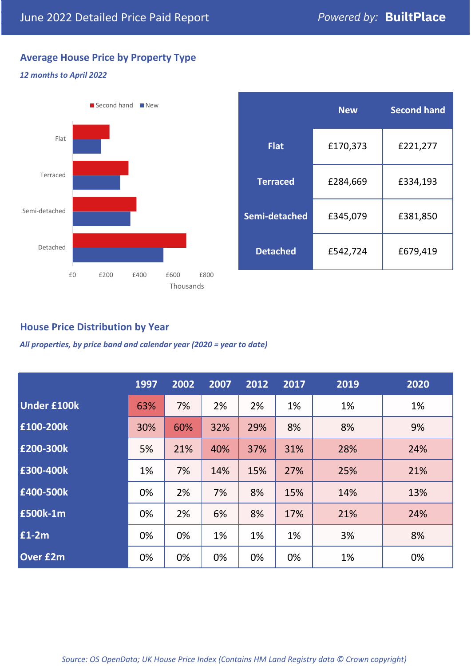## **Average House Price by Property Type**

#### *12 months to April 2022*



|                 | <b>New</b> | <b>Second hand</b> |  |  |
|-----------------|------------|--------------------|--|--|
| <b>Flat</b>     | £170,373   | £221,277           |  |  |
| <b>Terraced</b> | £284,669   | £334,193           |  |  |
| Semi-detached   | £345,079   | £381,850           |  |  |
| <b>Detached</b> | £542,724   | £679,419           |  |  |

## **House Price Distribution by Year**

*All properties, by price band and calendar year (2020 = year to date)*

|                    | 1997 | 2002 | 2007 | 2012 | 2017 | 2019 | 2020 |
|--------------------|------|------|------|------|------|------|------|
| <b>Under £100k</b> | 63%  | 7%   | 2%   | 2%   | 1%   | 1%   | 1%   |
| £100-200k          | 30%  | 60%  | 32%  | 29%  | 8%   | 8%   | 9%   |
| E200-300k          | 5%   | 21%  | 40%  | 37%  | 31%  | 28%  | 24%  |
| £300-400k          | 1%   | 7%   | 14%  | 15%  | 27%  | 25%  | 21%  |
| £400-500k          | 0%   | 2%   | 7%   | 8%   | 15%  | 14%  | 13%  |
| £500k-1m           | 0%   | 2%   | 6%   | 8%   | 17%  | 21%  | 24%  |
| £1-2m              | 0%   | 0%   | 1%   | 1%   | 1%   | 3%   | 8%   |
| <b>Over £2m</b>    | 0%   | 0%   | 0%   | 0%   | 0%   | 1%   | 0%   |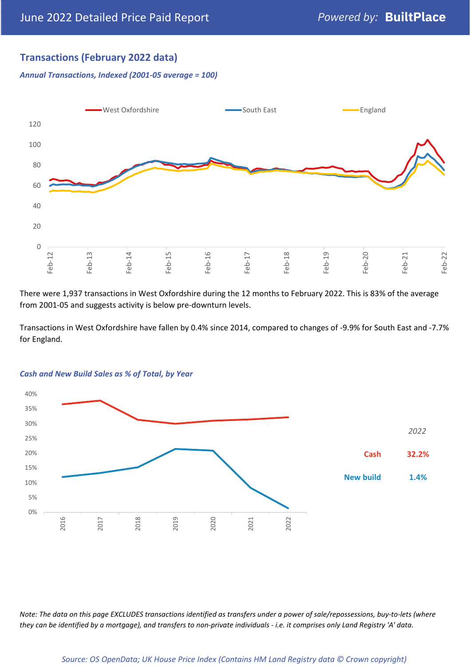## **Transactions (February 2022 data)**

*Annual Transactions, Indexed (2001-05 average = 100)*



There were 1,937 transactions in West Oxfordshire during the 12 months to February 2022. This is 83% of the average from 2001-05 and suggests activity is below pre-downturn levels.

Transactions in West Oxfordshire have fallen by 0.4% since 2014, compared to changes of -9.9% for South East and -7.7% for England.



#### *Cash and New Build Sales as % of Total, by Year*

*Note: The data on this page EXCLUDES transactions identified as transfers under a power of sale/repossessions, buy-to-lets (where they can be identified by a mortgage), and transfers to non-private individuals - i.e. it comprises only Land Registry 'A' data.*